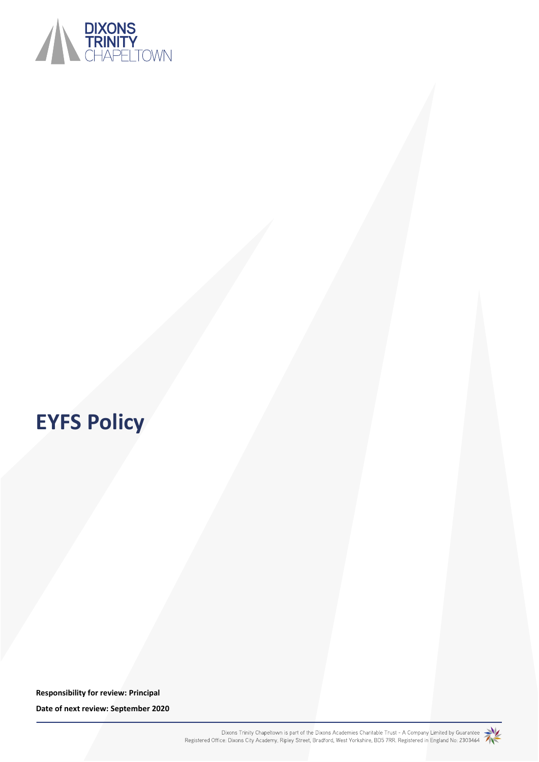

# **EYFS Policy**

**Responsibility for review: Principal Date of next review: September 2020**

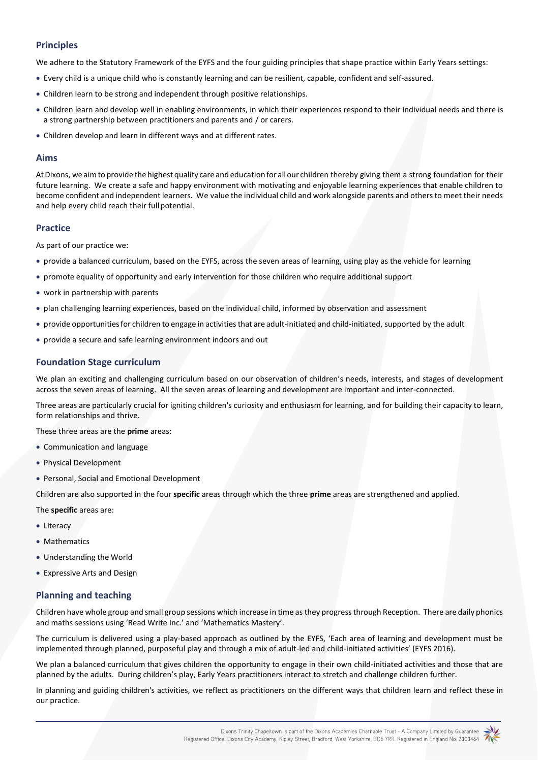# **Principles**

We adhere to the Statutory Framework of the EYFS and the four guiding principles that shape practice within Early Years settings:

- Every child is a unique child who is constantly learning and can be resilient, capable, confident and self-assured.
- Children learn to be strong and independent through positive relationships.
- Children learn and develop well in enabling environments, in which their experiences respond to their individual needs and there is a strong partnership between practitioners and parents and / or carers.
- Children develop and learn in different ways and at different rates.

## **Aims**

AtDixons, we aimto provide the highest quality care and education for allour children thereby giving them a strong foundation for their future learning. We create a safe and happy environment with motivating and enjoyable learning experiences that enable children to become confident and independent learners. We value the individual child and work alongside parents and others to meet their needs and help every child reach their full potential.

## **Practice**

As part of our practice we:

- provide a balanced curriculum, based on the EYFS, across the seven areas of learning, using play as the vehicle for learning
- promote equality of opportunity and early intervention for those children who require additional support
- work in partnership with parents
- plan challenging learning experiences, based on the individual child, informed by observation and assessment
- provide opportunitiesfor children to engage in activitiesthat are adult-initiated and child-initiated, supported by the adult
- provide a secure and safe learning environment indoors and out

# **Foundation Stage curriculum**

We plan an exciting and challenging curriculum based on our observation of children's needs, interests, and stages of development across the seven areas of learning. All the seven areas of learning and development are important and inter-connected.

Three areas are particularly crucial for igniting children's curiosity and enthusiasm for learning, and for building their capacity to learn, form relationships and thrive.

These three areas are the **prime** areas:

- Communication and language
- Physical Development
- Personal, Social and Emotional Development

Children are also supported in the four **specific** areas through which the three **prime** areas are strengthened and applied.

The **specific** areas are:

- Literacy
- Mathematics
- Understanding the World
- Expressive Arts and Design

# **Planning and teaching**

Children have whole group and small group sessions which increase in time as they progress through Reception. There are daily phonics and maths sessions using 'Read Write Inc.' and 'Mathematics Mastery'.

The curriculum is delivered using a play-based approach as outlined by the EYFS, 'Each area of learning and development must be implemented through planned, purposeful play and through a mix of adult-led and child-initiated activities' (EYFS 2016).

We plan a balanced curriculum that gives children the opportunity to engage in their own child-initiated activities and those that are planned by the adults. During children's play, Early Years practitioners interact to stretch and challenge children further.

In planning and guiding children's activities, we reflect as practitioners on the different ways that children learn and reflect these in our practice.